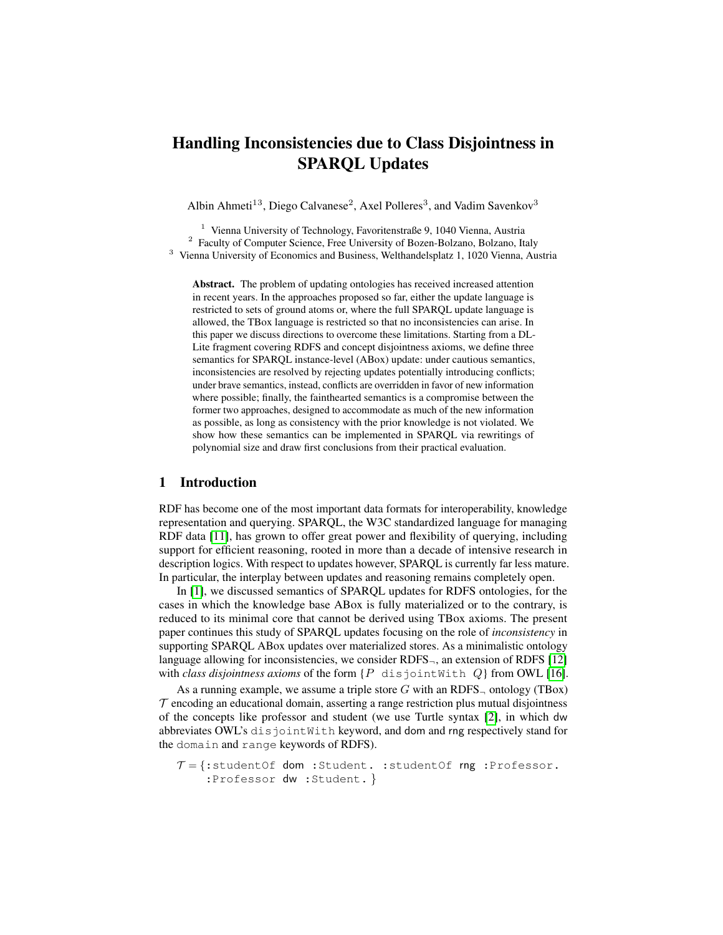# Handling Inconsistencies due to Class Disjointness in SPARQL Updates

Albin Ahmeti<sup>13</sup>, Diego Calvanese<sup>2</sup>, Axel Polleres<sup>3</sup>, and Vadim Savenkov<sup>3</sup>

<sup>1</sup> Vienna University of Technology, Favoritenstraße 9, 1040 Vienna, Austria <sup>2</sup> Faculty of Computer Science, Free University of Bozen-Bolzano, Bolzano, Italy <sup>3</sup> Vienna University of Economics and Business, Welthandelsplatz 1, 1020 Vienna, Austria

Abstract. The problem of updating ontologies has received increased attention in recent years. In the approaches proposed so far, either the update language is restricted to sets of ground atoms or, where the full SPARQL update language is allowed, the TBox language is restricted so that no inconsistencies can arise. In this paper we discuss directions to overcome these limitations. Starting from a DL-Lite fragment covering RDFS and concept disjointness axioms, we define three semantics for SPARQL instance-level (ABox) update: under cautious semantics, inconsistencies are resolved by rejecting updates potentially introducing conflicts; under brave semantics, instead, conflicts are overridden in favor of new information where possible; finally, the fainthearted semantics is a compromise between the former two approaches, designed to accommodate as much of the new information as possible, as long as consistency with the prior knowledge is not violated. We show how these semantics can be implemented in SPARQL via rewritings of polynomial size and draw first conclusions from their practical evaluation.

#### <span id="page-0-0"></span>1 Introduction

RDF has become one of the most important data formats for interoperability, knowledge representation and querying. SPARQL, the W3C standardized language for managing RDF data [\[11\]](#page-14-0), has grown to offer great power and flexibility of querying, including support for efficient reasoning, rooted in more than a decade of intensive research in description logics. With respect to updates however, SPARQL is currently far less mature. In particular, the interplay between updates and reasoning remains completely open.

In [\[1\]](#page-14-1), we discussed semantics of SPARQL updates for RDFS ontologies, for the cases in which the knowledge base ABox is fully materialized or to the contrary, is reduced to its minimal core that cannot be derived using TBox axioms. The present paper continues this study of SPARQL updates focusing on the role of *inconsistency* in supporting SPARQL ABox updates over materialized stores. As a minimalistic ontology language allowing for inconsistencies, we consider  $RDFS_{\neg}$ , an extension of RDFS [\[12\]](#page-14-2) with *class disjointness axioms* of the form  $\{P \text{ disjointWith } Q\}$  from OWL [\[16\]](#page-14-3).

As a running example, we assume a triple store G with an RDFS<sub> $\neg$ </sub> ontology (TBox)  $\tau$  encoding an educational domain, asserting a range restriction plus mutual disjointness of the concepts like professor and student (we use Turtle syntax [\[2\]](#page-14-4), in which dw abbreviates OWL's disjointWith keyword, and dom and rng respectively stand for the domain and range keywords of RDFS).

```
\mathcal{T} = \{:\text{studentOf dom :Student.: studentOf rng :Professor.}\}:Professor dw :Student. }
```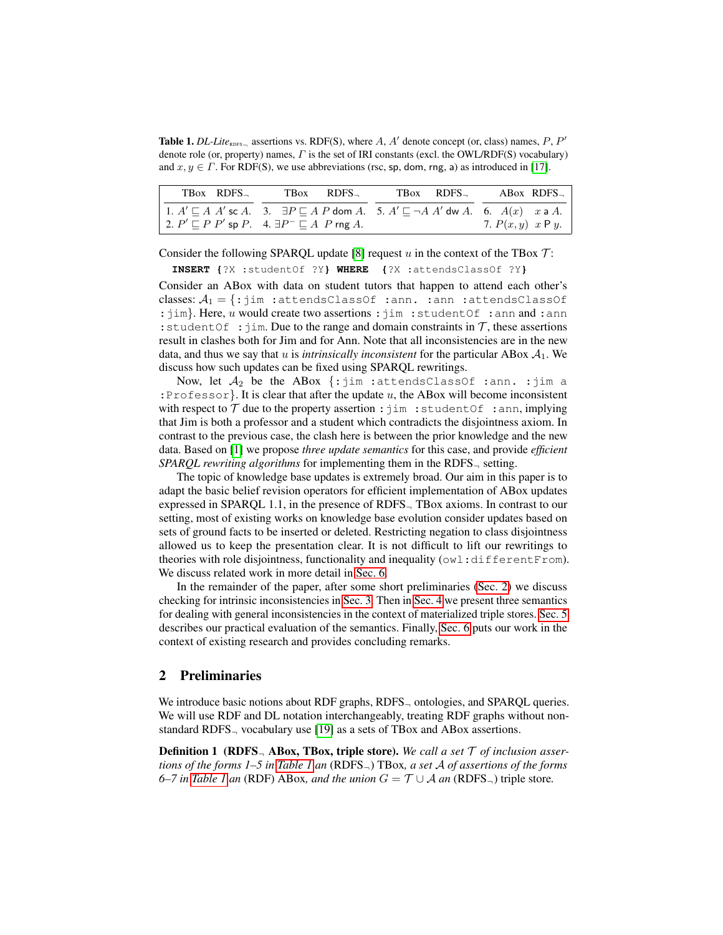<span id="page-1-1"></span>**Table 1.** *DL-Lite*<sub>RDFS-</sub>, assertions vs. RDF(S), where A, A' denote concept (or, class) names, P, P' denote role (or, property) names,  $\Gamma$  is the set of IRI constants (excl. the OWL/RDF(S) vocabulary) and  $x, y \in \Gamma$ . For RDF(S), we use abbreviations (rsc, sp, dom, rng, a) as introduced in [\[17\]](#page-14-5).

| TBox RDFS | TBox RDFS                                                                                                                                                                                                                | TBox RDFS | ABox RDFS           |
|-----------|--------------------------------------------------------------------------------------------------------------------------------------------------------------------------------------------------------------------------|-----------|---------------------|
|           | 1. $A' \sqsubseteq A$ $A'$ sc $A$ . 3. $\exists P \sqsubseteq A$ $P$ dom $A$ . 5. $A' \sqsubseteq \neg A$ $A'$ dw $A$ . 6. $A(x)$ $x \neq A$ .<br>2. $P' \sqsubseteq P$ P' sp P. 4. $\exists P^- \sqsubseteq A$ P rng A. |           | 7. $P(x, y)$ x P y. |

Consider the following SPARQL update [\[8\]](#page-14-6) request  $u$  in the context of the TBox  $\mathcal{T}$ :

**INSERT {**?X :studentOf ?Y**} WHERE {**?X :attendsClassOf ?Y**}**

Consider an ABox with data on student tutors that happen to attend each other's classes:  $A_1 = \{ : j \text{im} : \text{attendsClassOf} : \text{ann} : \text{attendsClassOf} \}$ :jim}. Here, u would create two assertions : jim : studentOf : ann and : ann : student Of :  $\lim_{n \to \infty}$  Due to the range and domain constraints in  $\mathcal{T}$ , these assertions result in clashes both for Jim and for Ann. Note that all inconsistencies are in the new data, and thus we say that  $u$  is *intrinsically inconsistent* for the particular ABox  $A_1$ . We discuss how such updates can be fixed using SPARQL rewritings.

Now, let  $A_2$  be the ABox  $\{\cdot\}$  im :attendsClassOf :ann. :jim a : Professor}. It is clear that after the update  $u$ , the ABox will become inconsistent with respect to  $T$  due to the property assertion : jim : studentOf : ann, implying that Jim is both a professor and a student which contradicts the disjointness axiom. In contrast to the previous case, the clash here is between the prior knowledge and the new data. Based on [\[1\]](#page-14-1) we propose *three update semantics* for this case, and provide *efficient SPARQL rewriting algorithms* for implementing them in the RDFS<sup>¬</sup> setting.

The topic of knowledge base updates is extremely broad. Our aim in this paper is to adapt the basic belief revision operators for efficient implementation of ABox updates expressed in SPARQL 1.1, in the presence of RDFS<sub>-T</sub> Box axioms. In contrast to our setting, most of existing works on knowledge base evolution consider updates based on sets of ground facts to be inserted or deleted. Restricting negation to class disjointness allowed us to keep the presentation clear. It is not difficult to lift our rewritings to theories with role disjointness, functionality and inequality (owl:differentFrom). We discuss related work in more detail in [Sec. 6.](#page-13-0)

In the remainder of the paper, after some short preliminaries [\(Sec. 2\)](#page-1-0) we discuss checking for intrinsic inconsistencies in [Sec. 3.](#page-3-0) Then in [Sec. 4](#page-6-0) we present three semantics for dealing with general inconsistencies in the context of materialized triple stores. [Sec. 5](#page-12-0) describes our practical evaluation of the semantics. Finally, [Sec. 6](#page-13-0) puts our work in the context of existing research and provides concluding remarks.

### <span id="page-1-0"></span>2 Preliminaries

We introduce basic notions about RDF graphs, RDFS<sub> $\neg$ </sub> ontologies, and SPARQL queries. We will use RDF and DL notation interchangeably, treating RDF graphs without nonstandard RDFS<sup>¬</sup> vocabulary use [\[19\]](#page-14-7) as a sets of TBox and ABox assertions.

Definition 1 (RDFS<sup>¬</sup> ABox, TBox, triple store). *We call a set of inclusion assertions of the forms 1–5 in [Table 1](#page-1-1) an* (RDFS¬) TBox*, a set of assertions of the forms 6–7 in [Table 1](#page-1-1) an* (RDF) ABox, *and the union*  $G = \mathcal{T} \cup \mathcal{A}$  *an* (RDFS<sub> $\sqsupset$ ) triple store.</sub>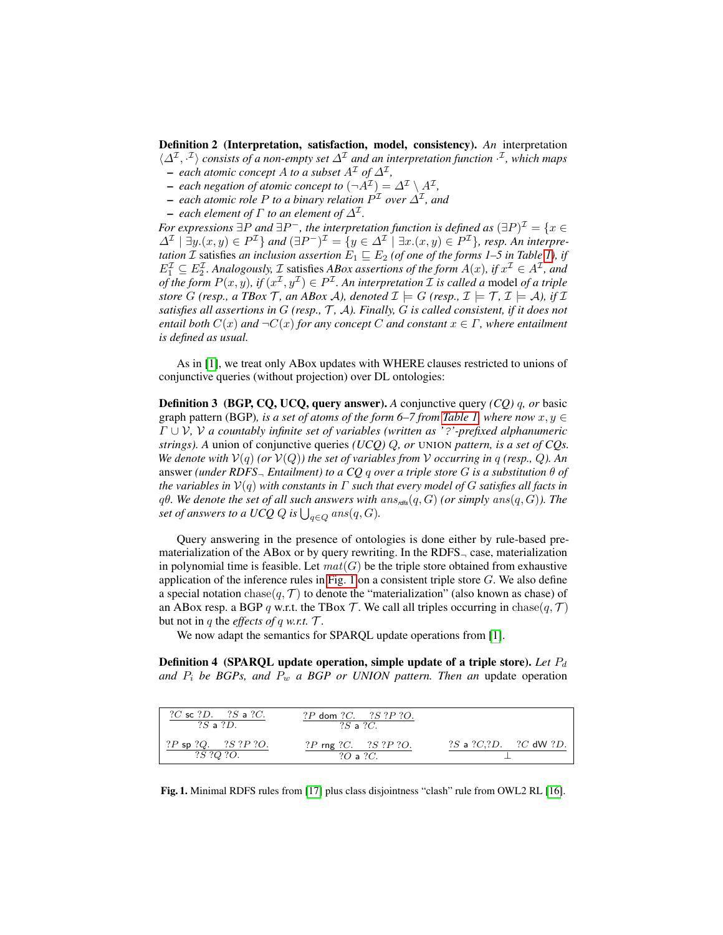Definition 2 (Interpretation, satisfaction, model, consistency). *An* interpretation  $\langle \Delta^{\mathcal{I}}, \cdot^{\mathcal{I}} \rangle$  consists of a non-empty set  $\Delta^{\mathcal{I}}$  and an interpretation function  $\cdot^{\mathcal{I}}$ , which maps

- $-$  each atomic concept A to a subset  $A<sup>\mathcal{I}</sup>$  of  $\Delta<sup>\mathcal{I}</sup>$ ,
- $-$  each negation of atomic concept to  $(\neg A^{\mathcal{I}}) = \Delta^{\mathcal{I}} \setminus A^{\mathcal{I}}$ ,  $-$  each atomic role P to a binary relation  $P^{\mathcal{I}}$  over  $\Delta^{\mathcal{I}}$ , and
- $-$  each element of  $\Gamma$  to an element of  $\Delta^{\mathcal{I}}.$
- 

*For expressions*  $\exists P$  and  $\exists P^-$ , the interpretation function is defined as  $(\exists P)^{\mathcal{I}} = \{x \in P\}$  $\Delta^{\mathcal{I}}\mid \exists y.(x, y) \in P^{\mathcal{I}}\}$  and  $(\exists P^-)^{\mathcal{I}} = \{y \in \Delta^{\mathcal{I}}\mid \exists x.(x, y) \in P^{\mathcal{I}}\}$ , resp. An interpre*tation*  $\mathcal I$  satisfies *an inclusion assertion*  $E_1 \sqsubseteq E_2$  (*of one of the forms 1–5 in Table 1*), *if*  $E_1^{\mathcal{I}} \subseteq E_2^{\mathcal{I}}$ . Analogously,  $\mathcal{I}$  satisfies ABox assertions of the form  $A(x)$ , if  $x^{\mathcal{I}} \in A^{\mathcal{I}}$ , and *of the form*  $P(x, y)$ *, if*  $(x^{\mathcal{I}}, y^{\mathcal{I}}) \in P^{\mathcal{I}}$ . An interpretation  $\mathcal I$  is called a model of a triple *store*  $G$  (resp., a TBox  $\mathcal{T}$ , an ABox  $\mathcal{A}$ ), denoted  $\mathcal{I} \models G$  (resp.,  $\mathcal{I} \models \mathcal{T}$ ,  $\mathcal{I} \models \mathcal{A}$ ), if  $\mathcal{I}$ *satisfies all assertions in (resp., , ). Finally, is called consistent, if it does not entail both*  $C(x)$  *and*  $\neg C(x)$  *for any concept* C *and constant*  $x \in \Gamma$ *, where entailment is defined as usual.*

As in [\[1\]](#page-14-1), we treat only ABox updates with WHERE clauses restricted to unions of conjunctive queries (without projection) over DL ontologies:

Definition 3 (BGP, CQ, UCQ, query answer). *A* conjunctive query *(CQ) , or* basic graph pattern (BGP)*, is a set of atoms of the form 6–7 from [Table 1,](#page-1-1) where now*  $x, y \in$  ∪ *, a countably infinite set of variables (written as '*?*'-prefixed alphanumeric strings). A* union of conjunctive queries *(UCQ) , or* UNION *pattern, is a set of CQs. We denote with*  $V(q)$  *(or*  $V(Q)$ *) the set of variables from* V *occurring in q (resp., Q). An* answer *(under RDFS<sub>* $\neg$ *</sub> Entailment) to a CQ q over a triple store G is a substitution*  $\theta$  of *the variables in*  $V(q)$  *with constants in*  $\Gamma$  *such that every model of*  $G$  *satisfies all facts in*  $q\theta$ . We denote the set of all such answers with  $ans_{r\text{dfs}}(q, G)$  (or simply  $ans(q, G)$ ). The *set of answers to a UCQ*  $Q$  *is*  $\bigcup_{q \in Q} ans(q, G)$ *.* 

Query answering in the presence of ontologies is done either by rule-based prematerialization of the ABox or by query rewriting. In the RDFS $<sub>–</sub>$  case, materialization</sub> in polynomial time is feasible. Let  $mat(G)$  be the triple store obtained from exhaustive application of the inference rules in [Fig. 1](#page-2-0) on a consistent triple store  $G$ . We also define a special notation chase( $q, \mathcal{T}$ ) to denote the "materialization" (also known as chase) of an ABox resp. a BGP q w.r.t. the TBox  $\mathcal T$ . We call all triples occurring in chase $(q, \mathcal T)$ but not in  $q$  the *effects of*  $q$  *w.r.t.*  $T$ .

We now adapt the semantics for SPARQL update operations from [\[1\]](#page-14-1).

<span id="page-2-1"></span>Definition 4 (SPARQL update operation, simple update of a triple store). *Let* and  $P_i$  be BGPs, and  $P_w$  a BGP or UNION pattern. Then an update operation

| ? <i>C</i> sc ? <i>D</i> . ? <i>S</i> a ? <i>C</i> .<br>$?S \triangleleft ?D.$ | ?P dom ?C. $?S$ ?P ?O.<br>$?S \triangleleft ?C.$ |                                |
|--------------------------------------------------------------------------------|--------------------------------------------------|--------------------------------|
| $?P$ sp $?Q.$ $?S$ $?P$ $?O.$<br><i>?S ?Q ?O.</i>                              | ?P rng ?C. $?S$ ?P ?O.<br>$?O$ a $?C.$           | $?S$ a $?C. ?D.$ $?C$ dW $?D.$ |

<span id="page-2-0"></span>Fig. 1. Minimal RDFS rules from [\[17\]](#page-14-5) plus class disjointness "clash" rule from OWL2 RL [\[16\]](#page-14-3).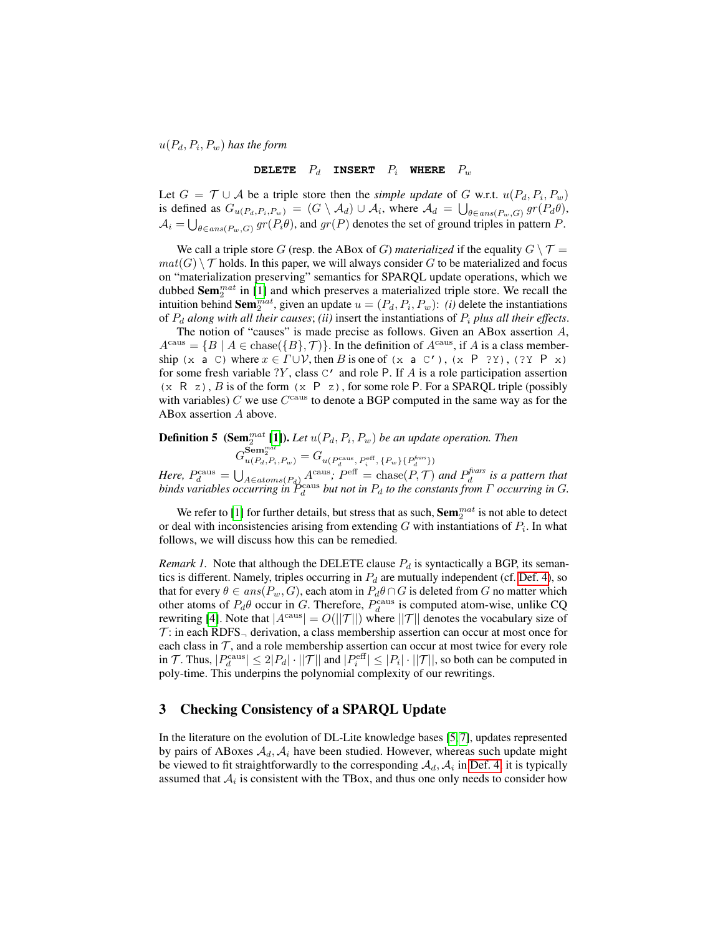$u(P_d, P_i, P_w)$  has the form

# **DELETE**  $P_d$  **INSERT**  $P_i$  **WHERE**  $P_w$

Let  $G = \mathcal{T} \cup \mathcal{A}$  be a triple store then the *simple update* of G w.r.t.  $u(P_d, P_i, P_w)$ is defined as  $G_{u(P_d, P_i, P_w)} = (G \setminus \mathcal{A}_d) \cup \mathcal{A}_i$ , where  $\mathcal{A}_d = \bigcup_{\theta \in ans(P_w, G)} gr(P_d\theta)$ ,  $A_i = \bigcup_{\theta \in ans(P_w,G)} gr(P_i\theta)$ , and  $gr(P)$  denotes the set of ground triples in pattern P.

We call a triple store G (resp. the ABox of G) *materialized* if the equality  $G \setminus \mathcal{T} =$  $mat(G) \setminus \mathcal{T}$  holds. In this paper, we will always consider G to be materialized and focus on "materialization preserving" semantics for SPARQL update operations, which we dubbed  $\textbf{Sem}_2^{mat}$  in [\[1\]](#page-14-1) and which preserves a materialized triple store. We recall the intuition behind  $\textbf{Sem}_{2}^{mat}$ , given an update  $u = (P_d, P_i, P_w)$ : *(i)* delete the instantiations of  $P_d$  along with all their causes; *(ii)* insert the instantiations of  $P_i$  plus all their effects.

The notion of "causes" is made precise as follows. Given an ABox assertion  $A$ ,  $A<sup>caus</sup> = {B | A ∈ \text{chase}({B}, \mathcal{T})}.$  In the definition of  $A<sup>caus</sup>$ , if A is a class membership (x a C) where  $x \in \Gamma \cup V$ , then B is one of (x a C'), (x P ?Y), (?Y P x) for some fresh variable  $?Y$ , class  $C'$  and role P. If A is a role participation assertion (x R z), B is of the form (x P z), for some role P. For a SPARQL triple (possibly with variables)  $C$  we use  $C^{\text{caus}}$  to denote a BGP computed in the same way as for the ABox assertion  $A$  above.

# <span id="page-3-1"></span>**Definition 5** (Sem $_2^{mat}$  [\[1\]](#page-14-1)). Let  $u(P_d, P_i, P_w)$  be an update operation. Then

 $G_{u(P_{d},P_{i},P_{w})}^{\mathbf{Sem}_{2}^{mat}} = G_{u(P_{d}^{\text{caus}},\ P_{i}^{\text{eff}},\{P_{w}\}\{P_{d}^{\text{fvars}}\})}$ 

*Here,*  $P_d^{\text{caus}} = \bigcup_{A \in atoms(P_d)} A^{\text{caus}}$ ;  $P^{\text{eff}} = \text{chase}(P, \mathcal{T})$  and  $P_d^{\text{fvars}}$  is a pattern that binds variables occurring in  $P_d^{\text{caus}}$  but not in  $P_d$  to the constants from  $\Gamma$  occurring in  $G$ .

We refer to [\[1\]](#page-14-1) for further details, but stress that as such,  $\mathbf{Sem}_{2}^{mat}$  is not able to detect or deal with inconsistencies arising from extending G with instantiations of  $P_i$ . In what follows, we will discuss how this can be remedied.

*Remark 1.* Note that although the DELETE clause  $P_d$  is syntactically a BGP, its semantics is different. Namely, triples occurring in  $P_d$  are mutually independent (cf. [Def. 4\)](#page-2-1), so that for every  $\theta \in ans(P_w, G)$ , each atom in  $P_d \theta \cap G$  is deleted from G no matter which other atoms of  $P_d\theta$  occur in G. Therefore,  $P_d^{\text{caus}}$  is computed atom-wise, unlike CQ rewriting [\[4\]](#page-14-8). Note that  $|A^{\text{caus}}| = O(||\mathcal{T}||)$  where  $||\mathcal{T}||$  denotes the vocabulary size of  $\mathcal{T}$ : in each RDFS<sub> $\neg$ </sub> derivation, a class membership assertion can occur at most once for each class in  $T$ , and a role membership assertion can occur at most twice for every role in T. Thus,  $|P_d^{\text{caus}}| \leq 2|P_d| \cdot ||T||$  and  $|P_i^{\text{eff}}| \leq |P_i| \cdot ||T||$ , so both can be computed in poly-time. This underpins the polynomial complexity of our rewritings.

# <span id="page-3-0"></span>3 Checking Consistency of a SPARQL Update

In the literature on the evolution of DL-Lite knowledge bases [\[5,](#page-14-9) [7\]](#page-14-10), updates represented by pairs of ABoxes  $A_d$ ,  $A_i$  have been studied. However, whereas such update might be viewed to fit straightforwardly to the corresponding  $A_d$ ,  $A_i$  in [Def. 4,](#page-2-1) it is typically assumed that  $A_i$  is consistent with the TBox, and thus one only needs to consider how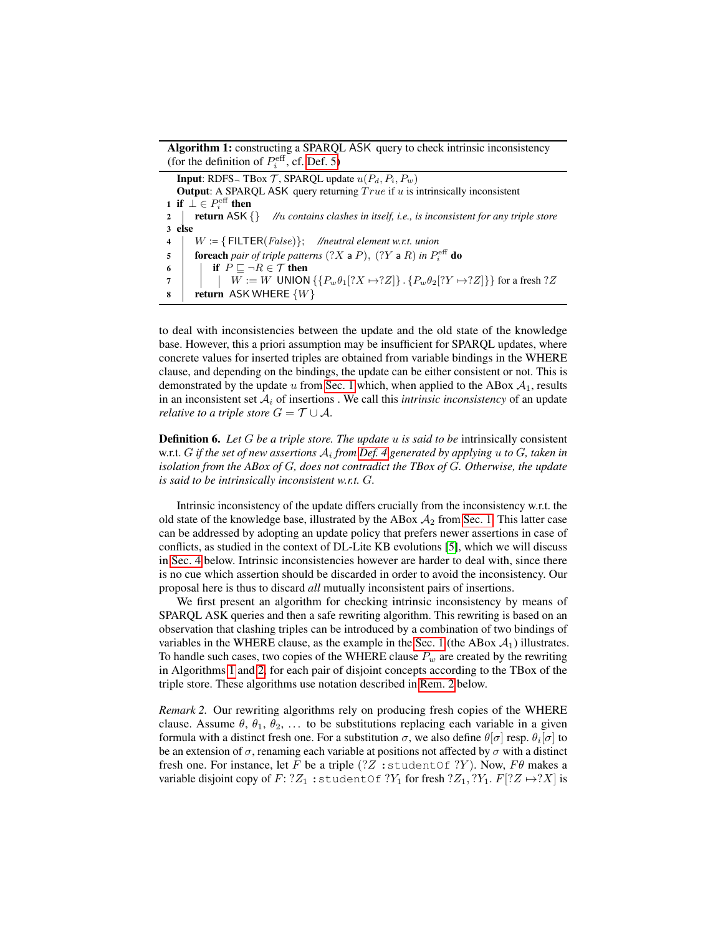Algorithm 1: constructing a SPARQL ASK query to check intrinsic inconsistency (for the definition of  $P_i^{\text{eff}}$ , cf. [Def. 5\)](#page-3-1)

**Input:** RDFS<sub> $\neg$ </sub> TBox  $\mathcal T$ , SPARQL update  $u(P_d, P_i, P_w)$ Output: A SPARQL ASK query returning  $True$  if  $u$  is intrinsically inconsistent 1 if  $\perp \in P_i^{\text{eff}}$  then 2 **return** ASK {} *//w* contains clashes in itself, i.e., is inconsistent for any triple store 3 else  $4 \mid W := \{\text{FlITER}(False)\};$  //neutral element w.r.t. union 5 **foreach** pair of triple patterns  $(?X a P)$ ,  $(?Y a R)$  in  $P_i^{\text{eff}}$  do 6 if  $P \sqsubseteq \neg R \in \mathcal{T}$  then 7  $\left| \quad \right| \quad W := W \text{ UNION } \{\{P_w \theta_1[?X \mapsto ?Z]\} \text{ . } \{P_w \theta_2[?Y \mapsto ?Z]\}\} \text{ for a fresh } ?Z$  $\bf{8}$  | return ASK WHERE  $\{W\}$ 

<span id="page-4-0"></span>to deal with inconsistencies between the update and the old state of the knowledge base. However, this a priori assumption may be insufficient for SPARQL updates, where concrete values for inserted triples are obtained from variable bindings in the WHERE clause, and depending on the bindings, the update can be either consistent or not. This is demonstrated by the update u from [Sec. 1](#page-0-0) which, when applied to the ABox  $A_1$ , results in an inconsistent set  $A_i$  of insertions. We call this *intrinsic inconsistency* of an update *relative to a triple store*  $G = \mathcal{T} \cup \mathcal{A}$ .

**Definition 6.** Let G be a triple store. The update u is said to be intrinsically consistent w.r.t.  $G$  if the set of new assertions  $\mathcal{A}_i$  from [Def. 4](#page-2-1) generated by applying  $u$  to  $G$ , taken in *isolation from the ABox of G, does not contradict the TBox of G. Otherwise, the update is said to be intrinsically inconsistent w.r.t. G.* 

Intrinsic inconsistency of the update differs crucially from the inconsistency w.r.t. the old state of the knowledge base, illustrated by the ABox  $A_2$  from [Sec. 1.](#page-0-0) This latter case can be addressed by adopting an update policy that prefers newer assertions in case of conflicts, as studied in the context of DL-Lite KB evolutions [\[5\]](#page-14-9), which we will discuss in [Sec. 4](#page-6-0) below. Intrinsic inconsistencies however are harder to deal with, since there is no cue which assertion should be discarded in order to avoid the inconsistency. Our proposal here is thus to discard *all* mutually inconsistent pairs of insertions.

We first present an algorithm for checking intrinsic inconsistency by means of SPARQL ASK queries and then a safe rewriting algorithm. This rewriting is based on an observation that clashing triples can be introduced by a combination of two bindings of variables in the WHERE clause, as the example in the [Sec. 1](#page-0-0) (the ABox  $A_1$ ) illustrates. To handle such cases, two copies of the WHERE clause  $P_w$  are created by the rewriting in Algorithms [1](#page-4-0) and [2,](#page-5-0) for each pair of disjoint concepts according to the TBox of the triple store. These algorithms use notation described in [Rem. 2](#page-4-1) below.

<span id="page-4-1"></span>*Remark 2.* Our rewriting algorithms rely on producing fresh copies of the WHERE clause. Assume  $\theta$ ,  $\theta_1$ ,  $\theta_2$ , ... to be substitutions replacing each variable in a given formula with a distinct fresh one. For a substitution  $\sigma$ , we also define  $\theta[\sigma]$  resp.  $\theta_i[\sigma]$  to be an extension of  $\sigma$ , renaming each variable at positions not affected by  $\sigma$  with a distinct fresh one. For instance, let  $F$  be a triple (?Z : studentOf ?Y). Now,  $F\theta$  makes a variable disjoint copy of  $F: ?Z_1 :$ studentOf  $?Y_1$  for fresh  $?Z_1, ?Y_1, F[?Z \rightarrow ?X]$  is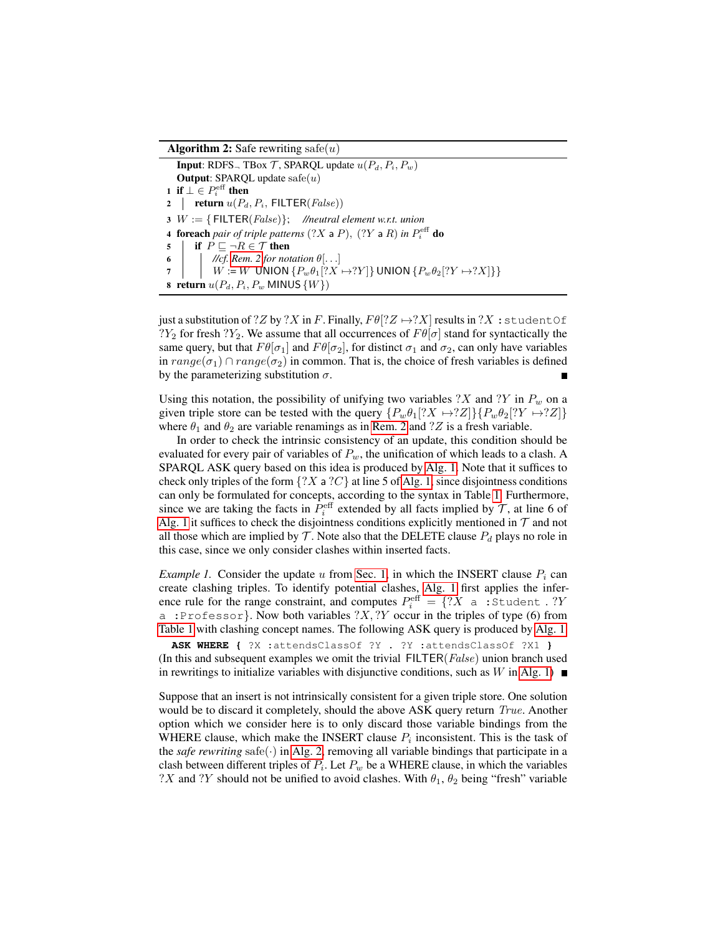#### **Algorithm 2:** Safe rewriting safe(*u*)

<span id="page-5-0"></span>**Input:** RDFS<sub> $\neg$ </sub> TBox *T*, SPARQL update  $u(P_d, P_i, P_w)$ **Output:** SPARQL update  $\text{safe}(u)$ 1 if  $\bot \in P_i^{\text{eff}}$  then 2 | **return**  $u(P_d, P_i, \text{ FILTER}(False))$  $3 \, W := \{ \, \text{FlITER}(False) \}; \,$  //neutral element w.r.t. union **4 foreach** pair of triple patterns  $(?X \nvert P), (?Y \nvert R)$  in  $P_i^{\text{eff}}$  do 5 if  $P \sqsubseteq \neg R \in \mathcal{T}$  then 6  $\vert$  //cf. [Rem. 2](#page-4-1) for notation  $\theta$ [...]  $7 \mid W := W \text{ UNION } \{P_w \theta_1 | ?X \mapsto ?Y \}$  UNION  $\{P_w \theta_2 | ?Y \mapsto ?X \} \}$ 8 return  $u(P_d, P_i, P_w$  MINUS  $\{W\})$ 

just a substitution of ?Z by ?X in F. Finally,  $F\theta$ <sup>[?</sup> $Z \rightarrow$ ?X] results in ?X : studentOf  $?Y_2$  for fresh  $?Y_2$ . We assume that all occurrences of  $F\theta[\sigma]$  stand for syntactically the same query, but that  $F\theta[\sigma_1]$  and  $F\theta[\sigma_2]$ , for distinct  $\sigma_1$  and  $\sigma_2$ , can only have variables in  $range(\sigma_1) \cap range(\sigma_2)$  in common. That is, the choice of fresh variables is defined by the parameterizing substitution  $\sigma$ .

Using this notation, the possibility of unifying two variables  $?X$  and  $?Y$  in  $P_w$  on a given triple store can be tested with the query  $\{P_w \theta_1[?X \rightarrow ?Z]\}\{P_w \theta_2[?Y \rightarrow ?Z]\}$ where  $\theta_1$  and  $\theta_2$  are variable renamings as in [Rem. 2](#page-4-1) and ? Z is a fresh variable.

In order to check the intrinsic consistency of an update, this condition should be evaluated for every pair of variables of  $P_w$ , the unification of which leads to a clash. A SPARQL ASK query based on this idea is produced by [Alg. 1.](#page-4-0) Note that it suffices to check only triples of the form  $\{?X \mid ?C\}$  at line 5 of [Alg. 1,](#page-4-0) since disjointness conditions can only be formulated for concepts, according to the syntax in Table [1.](#page-1-1) Furthermore, since we are taking the facts in  $P_i^{\text{eff}}$  extended by all facts implied by  $\mathcal T$ , at line 6 of [Alg. 1](#page-4-0) it suffices to check the disjointness conditions explicitly mentioned in  $\tau$  and not all those which are implied by  $\mathcal T$ . Note also that the DELETE clause  $P_d$  plays no role in this case, since we only consider clashes within inserted facts.

*Example 1.* Consider the update  $u$  from [Sec. 1,](#page-0-0) in which the INSERT clause  $P_i$  can create clashing triples. To identify potential clashes, [Alg. 1](#page-4-0) first applies the inference rule for the range constraint, and computes  $P_i^{\text{eff}} = \{?X \text{ a :Student : ?Y}\}$ a :Professor}. Now both variables  $?X, ?Y$  occur in the triples of type (6) from [Table 1](#page-1-1) with clashing concept names. The following ASK query is produced by [Alg. 1.](#page-4-0)

**ASK WHERE {** ?X :attendsClassOf ?Y . ?Y :attendsClassOf ?X1 **}** (In this and subsequent examples we omit the trivial FILTER(*False*) union branch used in rewritings to initialize variables with disjunctive conditions, such as  $W$  in [Alg. 1\)](#page-4-0)

Suppose that an insert is not intrinsically consistent for a given triple store. One solution would be to discard it completely, should the above ASK query return *True*. Another option which we consider here is to only discard those variable bindings from the WHERE clause, which make the INSERT clause  $P_i$  inconsistent. This is the task of the *safe rewriting* safe( $\cdot$ ) in [Alg. 2,](#page-5-0) removing all variable bindings that participate in a clash between different triples of  $P_i$ . Let  $P_w$  be a WHERE clause, in which the variables ?X and ?Y should not be unified to avoid clashes. With  $\theta_1$ ,  $\theta_2$  being "fresh" variable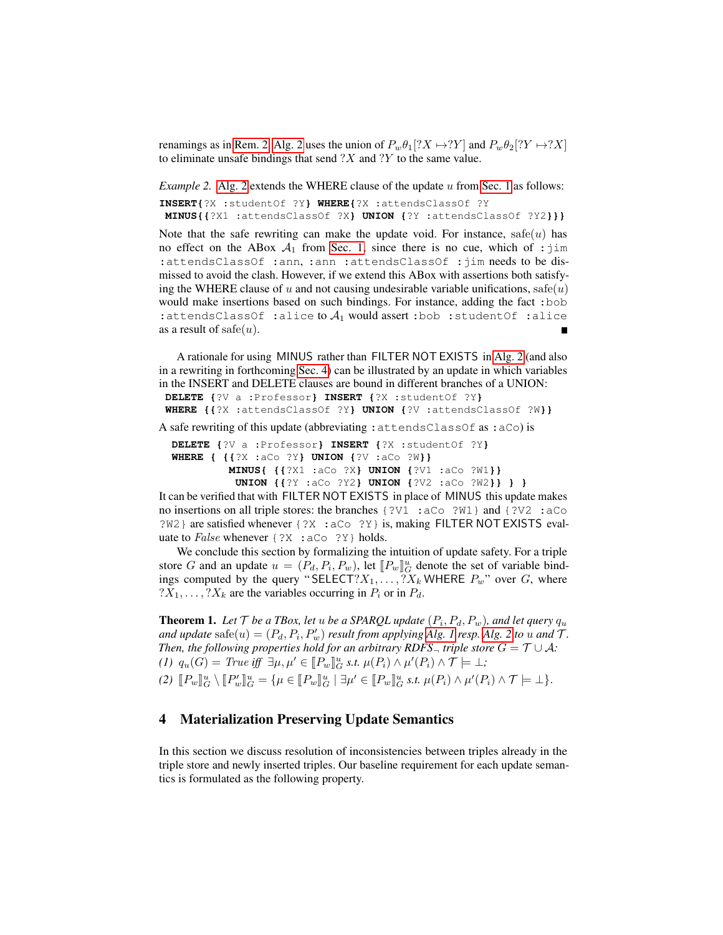renamings as in [Rem. 2,](#page-4-1) [Alg. 2](#page-5-0) uses the union of  $P_w\theta_1[?X \rightarrow ?Y]$  and  $P_w\theta_2[?Y \rightarrow ?X]$ to eliminate unsafe bindings that send  $?X$  and  $?Y$  to the same value.

<span id="page-6-1"></span>*Example 2.* [Alg. 2](#page-5-0) extends the WHERE clause of the update  $u$  from [Sec. 1](#page-0-0) as follows: **INSERT{**?X :studentOf ?Y**} WHERE{**?X :attendsClassOf ?Y

**MINUS{{**?X1 :attendsClassOf ?X**} UNION {**?Y :attendsClassOf ?Y2**}}}**

Note that the safe rewriting can make the update void. For instance,  $\text{safe}(u)$  has no effect on the ABox  $A_1$  from [Sec. 1,](#page-0-0) since there is no cue, which of : jim :attendsClassOf :ann, :ann :attendsClassOf :jim needs to be dismissed to avoid the clash. However, if we extend this ABox with assertions both satisfying the WHERE clause of u and not causing undesirable variable unifications,  $\text{safe}(u)$ would make insertions based on such bindings. For instance, adding the fact :bob :attendsClassOf :alice to  $A_1$  would assert :bob :studentOf :alice as a result of safe $(u)$ .

A rationale for using MINUS rather than FILTER NOT EXISTS in [Alg. 2](#page-5-0) (and also in a rewriting in forthcoming [Sec. 4\)](#page-6-0) can be illustrated by an update in which variables in the INSERT and DELETE clauses are bound in different branches of a UNION: **DELETE {**?V a :Professor**} INSERT {**?X :studentOf ?Y**} WHERE {{**?X :attendsClassOf ?Y**} UNION {**?V :attendsClassOf ?W**}}**

A safe rewriting of this update (abbreviating :attendsClassOf as :aCo) is

```
DELETE {?V a :Professor} INSERT {?X :studentOf ?Y}
WHERE { {{?X :aCo ?Y} UNION {?V :aCo ?W}}
         MINUS{ {{?X1 :aCo ?X} UNION {?V1 :aCo ?W1}}
          UNION {{?Y :aCo ?Y2} UNION {?V2 :aCo ?W2}} } }
```
It can be verified that with FILTER NOT EXISTS in place of MINUS this update makes no insertions on all triple stores: the branches {?V1 :aCo ?W1} and {?V2 :aCo ?W2} are satisfied whenever {?X :aCo ?Y} is, making FILTER NOT EXISTS evaluate to *False* whenever {?X : aCo ?Y} holds.

We conclude this section by formalizing the intuition of update safety. For a triple store *G* and an update  $u = (P_d, P_i, P_w)$ , let  $[[P_w]]_{\mathcal{U}}^u$  denote the set of variable bind-<br>ings computed by the query "SELECT? Y,  $2X$ , WHERE *P*," over *G*, where ings computed by the query "SELECT? $X_1, \ldots, Y_n$  WHERE  $P_w$ " over G, where  $?X_1, \ldots, ?X_k$  are the variables occurring in  $P_i$  or in  $P_d$ .

**Theorem 1.** Let  $\mathcal T$  be a TBox, let  $u$  be a SPARQL update  $(P_i, P_d, P_w)$ , and let query  $q_u$ *and update*  $\text{safe}(u) = (P_d, P_i, P'_w)$  *result from applying [Alg. 1](#page-4-0) resp. [Alg. 2](#page-5-0) to u and*  $\mathcal{T}$ *. Then, the following properties hold for an arbitrary RDFS<sub>* $\neg$ *</sub> <i>triple store*  $G = \mathcal{T} \cup \mathcal{A}$ *:*  $(1)$   $q_u(G) = True \text{ iff } \exists \mu, \mu' \in [\![P_w]\!]_u^u \text{ s.t. } \mu(P_i) \wedge \mu'(P_i) \wedge \mathcal{T} \models \bot;$ (2)  $[ P_w ]_G^u \setminus [ P_w' ]_G^u = \{ \mu \in [ P_w ]_G^u \mid \exists \mu' \in [ P_w ]_G^u \text{ s.t. } \mu(P_i) \wedge \mu'(P_i) \wedge \mathcal{T} \models \bot \}.$ 

# <span id="page-6-0"></span>4 Materialization Preserving Update Semantics

In this section we discuss resolution of inconsistencies between triples already in the triple store and newly inserted triples. Our baseline requirement for each update semantics is formulated as the following property.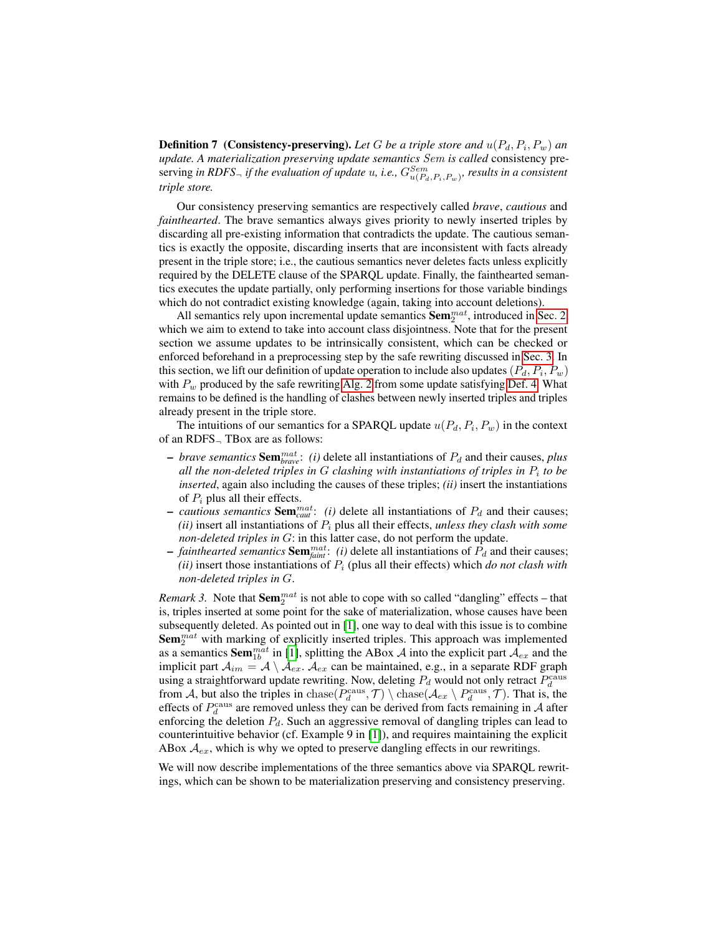**Definition 7** (Consistency-preserving). Let G be a triple store and  $u(P_d, P_i, P_w)$  and *update. A materialization preserving update semantics Sem is called* consistency preserving *in RDFS<sub>¬</sub> if the evaluation of update u*, *i.e.*,  $G^{Sem}_{u(P_d, P_i, P_w)}$ , results in a consistent *triple store.*

Our consistency preserving semantics are respectively called *brave*, *cautious* and *fainthearted*. The brave semantics always gives priority to newly inserted triples by discarding all pre-existing information that contradicts the update. The cautious semantics is exactly the opposite, discarding inserts that are inconsistent with facts already present in the triple store; i.e., the cautious semantics never deletes facts unless explicitly required by the DELETE clause of the SPARQL update. Finally, the fainthearted semantics executes the update partially, only performing insertions for those variable bindings which do not contradict existing knowledge (again, taking into account deletions).

All semantics rely upon incremental update semantics  $\textbf{Sem}_{2}^{mat}$ , introduced in [Sec. 2,](#page-1-0) which we aim to extend to take into account class disjointness. Note that for the present section we assume updates to be intrinsically consistent, which can be checked or enforced beforehand in a preprocessing step by the safe rewriting discussed in [Sec. 3.](#page-3-0) In this section, we lift our definition of update operation to include also updates  $(P_d, P_i, P_w)$ with  $P_w$  produced by the safe rewriting [Alg. 2](#page-5-0) from some update satisfying [Def. 4.](#page-2-1) What remains to be defined is the handling of clashes between newly inserted triples and triples already present in the triple store.

The intuitions of our semantics for a SPARQL update  $u(P_d, P_i, P_w)$  in the context of an RDFS<sup>¬</sup> TBox are as follows:

- $\rightarrow$  *brave semantics* **Sem**<sup>*mat*</sup><sub>*c*</sub>: *(i)* delete all instantiations of  $P_d$  and their causes, *plus all the non-deleted triples in clashing with instantiations of triples in to be inserted*, again also including the causes of these triples; *(ii)* insert the instantiations of  $P_i$  plus all their effects.
- $\sim$  *cautious semantics* **Sem**<sup>*mat*</sup>: *(i)* delete all instantiations of  $P_d$  and their causes;  $(iii)$  insert all instantiations of  $P_i$  plus all their effects, *unless they clash with some non-deleted triples in G*: in this latter case, do not perform the update.
- $\hat{P}_d$   *fainthearted semantics* **Sem** $_{faint}^{mat}$ : *(i)* delete all instantiations of  $\hat{P}_d$  and their causes;  $(iii)$  insert those instantiations of  $P_i$  (plus all their effects) which *do not clash with non-deleted triples in G.*

*Remark 3.* Note that  $\text{Sem}_{2}^{mat}$  is not able to cope with so called "dangling" effects – that is, triples inserted at some point for the sake of materialization, whose causes have been subsequently deleted. As pointed out in [\[1\]](#page-14-1), one way to deal with this issue is to combine Sem<sup>mat</sup> with marking of explicitly inserted triples. This approach was implemented as a semantics **Sem**<sup>mat</sup> in [\[1\]](#page-14-1), splitting the ABox A into the explicit part  $A_{ex}$  and the implicit part  $A_{im} = A \setminus A_{ex}$ .  $A_{ex}$  can be maintained, e.g., in a separate RDF graph using a straightforward update rewriting. Now, deleting  $P_d$  would not only retract  $P_d^{\text{caus}}$ from A, but also the triples in chase( $P_d^{\text{caus}}, \mathcal{T}$ ) \ chase( $\mathcal{A}_{ex} \setminus P_d^{\text{caus}}, \mathcal{T}$ ). That is, the effects of  $P_d^{\text{caus}}$  are removed unless they can be derived from facts remaining in A after enforcing the deletion  $P_d$ . Such an aggressive removal of dangling triples can lead to counterintuitive behavior (cf. Example 9 in [\[1\]](#page-14-1)), and requires maintaining the explicit ABox  $A_{ex}$ , which is why we opted to preserve dangling effects in our rewritings.

We will now describe implementations of the three semantics above via SPARQL rewritings, which can be shown to be materialization preserving and consistency preserving.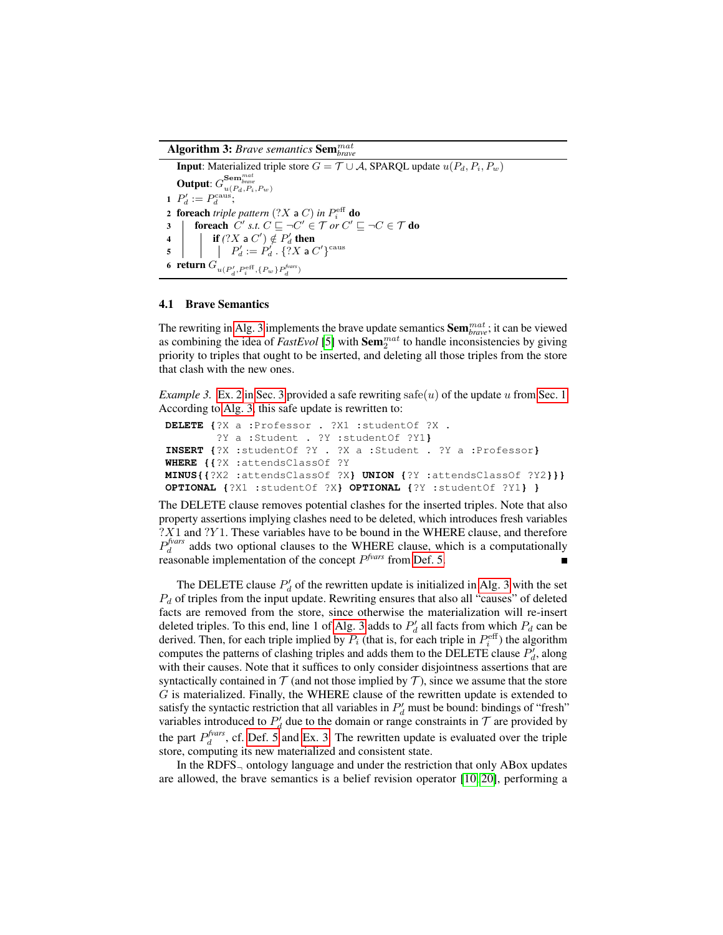Algorithm 3: *Brave semantics* Sem*mat brave*

<span id="page-8-0"></span>**Input:** Materialized triple store  $G = \mathcal{T} \cup \mathcal{A}$ , SPARQL update  $u(P_d, P_i, P_w)$ Output:  $G^{ {\bf Sem}_{\it brave}^{max}}_{u(P_d,P_i,P_w)}$ 1  $P'_d := P_d^{\text{caus}};$ 2 foreach *triple pattern*  $(?X$  a  $C)$  *in*  $P_i^{\text{eff}}$  do 3 **foreach**  $C'$  s.t.  $C \sqsubseteq \neg C' \in \mathcal{T}$  or  $C' \sqsubseteq \neg C \in \mathcal{T}$  do 4  $\vert$  **if**  $(?X \triangleleft C') \notin P_d'$  then  $\begin{array}{|c|c|c|}\hline \text{{\sf 5}} & & \end{array} \begin{array}{|c|c|c|}\hline \begin{array}{|c|c|c|}\hline \begin{array}{|c|c|}\hline \begin{array}{|c|c|}\hline \begin{array}{|c|c|}\hline \begin{array}{|c|c|}\hline \begin{array}{|c|c|}\hline \begin{array}{|c|c|}\hline \begin{array}{|c|c|}\hline \begin{array}{|c|c|}\hline \begin{array}{|c|c|}\hline \begin{array}{|c|c|}\hline \begin{array}{|c|c|}\hline \begin{array}{|c|c|}\hline \begin{array$ 6 **return**  $G_{u(P'_d, P_i^{\text{eff}}, \{P_w\}P_d^{\text{fvars}})}$ 

#### <span id="page-8-2"></span>4.1 Brave Semantics

The rewriting in [Alg. 3](#page-8-0) implements the brave update semantics Sem*mat brave*; it can be viewed as combining the idea of  $FastEvol$  [\[5\]](#page-14-9) with  $Sem_2^{mat}$  to handle inconsistencies by giving priority to triples that ought to be inserted, and deleting all those triples from the store that clash with the new ones.

<span id="page-8-1"></span>*Example 3.* [Ex. 2](#page-6-1) in [Sec. 3](#page-3-0) provided a safe rewriting safe(u) of the update u from [Sec. 1.](#page-0-0) According to [Alg. 3,](#page-8-0) this safe update is rewritten to:

```
DELETE {?X a :Professor . ?X1 :studentOf ?X .
        ?Y a :Student . ?Y :studentOf ?Y1}
INSERT {?X :studentOf ?Y . ?X a :Student . ?Y a :Professor}
WHERE {{?X :attendsClassOf ?Y
MINUS{{?X2 :attendsClassOf ?X} UNION {?Y :attendsClassOf ?Y2}}}
OPTIONAL {?X1 :studentOf ?X} OPTIONAL {?Y :studentOf ?Y1} }
```
The DELETE clause removes potential clashes for the inserted triples. Note that also property assertions implying clashes need to be deleted, which introduces fresh variables  $?X1$  and  $?Y1$ . These variables have to be bound in the WHERE clause, and therefore  $P_d^{fvars}$  adds two optional clauses to the WHERE clause, which is a computationally reasonable implementation of the concept  $P<sup>fvars</sup>$  from [Def. 5.](#page-3-1)

The DELETE clause  $P'_d$  of the rewritten update is initialized in [Alg. 3](#page-8-0) with the set  $P_d$  of triples from the input update. Rewriting ensures that also all "causes" of deleted facts are removed from the store, since otherwise the materialization will re-insert deleted triples. To this end, line 1 of [Alg. 3](#page-8-0) adds to  $P'_d$  all facts from which  $P_d$  can be derived. Then, for each triple implied by  $P_i$  (that is, for each triple in  $P_i^{\text{eff}}$ ) the algorithm computes the patterns of clashing triples and adds them to the DELETE clause  $P'_d$ , along with their causes. Note that it suffices to only consider disjointness assertions that are syntactically contained in  $\mathcal T$  (and not those implied by  $\mathcal T$ ), since we assume that the store  $G$  is materialized. Finally, the WHERE clause of the rewritten update is extended to satisfy the syntactic restriction that all variables in  $P_d'$  must be bound: bindings of "fresh" variables introduced to  $P'_d$  due to the domain or range constraints in  $\mathcal T$  are provided by the part  $P_d^{fvars}$ , cf. [Def. 5](#page-3-1) and [Ex. 3.](#page-8-1) The rewritten update is evaluated over the triple store, computing its new materialized and consistent state.

In the RDFS<sub> $\neg$ </sub> ontology language and under the restriction that only ABox updates are allowed, the brave semantics is a belief revision operator [\[10,](#page-14-11) [20\]](#page-14-12), performing a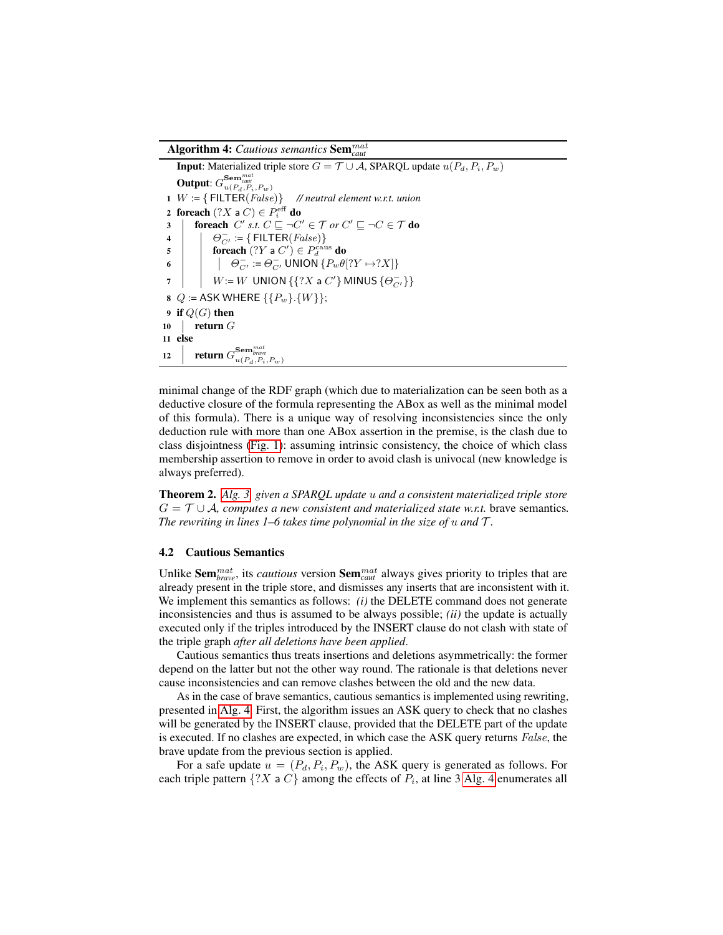Algorithm 4: *Cautious semantics* Sem*mat caut*

<span id="page-9-0"></span>**Input:** Materialized triple store  $G = \mathcal{T} \cup \mathcal{A}$ , SPARQL update  $u(P_d, P_i, P_w)$ Output:  $G_{u(P_d, P_i, P_w)}^{{\bf Sem}_{caut}}$ 1  $W := \{ \text{FlLTE}(False) \}$  // neutral element w.r.t. union  $\mathbf{2} \;\; \textbf{for} \textbf{each} \;(?X \; \textbf{a} \; C) \in P^{\text{eff}}_{i} \; \textbf{do}$ 3 | foreach  $C'$  *s.t.*  $C \sqsubseteq \neg C' \in \mathcal{T}$  *or*  $C' \sqsubseteq \neg C \in \mathcal{T}$  do 4  $\Big|$   $\bigcup_{C'} := \{\textsf{FlITER}(False)\}$ 5 **foreach**  $(?Y \text{ a } C') \in P_d^{\text{caus}}$  do 6  $\left| \quad \right| \quad \left| \quad \Theta_{C'}^- := \Theta_{C'}^-$  UNION  $\{P_w \theta[?Y \rightarrow ?X]\}$  $\begin{array}{ccc} \mathbf{7} & | & | & W \coloneqq W \end{array}$  UNION  $\{\{?X \mathbin{\mathsf{a}} C'\}$  MINUS  $\{\Theta_{C'}^{-}\}\}$ 8  $Q :=$  ASK WHERE {{ $P_w$ }.{ $W$ }}; 9 if  $Q(G)$  then 10  $\parallel$  return  $G$ 11 else 12  $\parallel$  **return**  $G_{u(P_d, P_i, P_w)}^{\textbf{Sem}_{\textit{brave}}}$ 

minimal change of the RDF graph (which due to materialization can be seen both as a deductive closure of the formula representing the ABox as well as the minimal model of this formula). There is a unique way of resolving inconsistencies since the only deduction rule with more than one ABox assertion in the premise, is the clash due to class disjointness [\(Fig. 1\)](#page-2-0): assuming intrinsic consistency, the choice of which class membership assertion to remove in order to avoid clash is univocal (new knowledge is always preferred).

Theorem 2. *[Alg. 3,](#page-8-0) given a SPARQL update and a consistent materialized triple store*  $G = \mathcal{T} \cup \mathcal{A}$ , computes a new consistent and materialized state w.r.t. brave semantics. *The rewriting in lines 1–6 takes time polynomial in the size of*  $u$  *and*  $\mathcal{T}$ .

#### 4.2 Cautious Semantics

Unlike Sem<sup>mat</sup>, its *cautious* version Sem<sup>mat</sup> always gives priority to triples that are already present in the triple store, and dismisses any inserts that are inconsistent with it. We implement this semantics as follows: *(i)* the DELETE command does not generate inconsistencies and thus is assumed to be always possible; *(ii)* the update is actually executed only if the triples introduced by the INSERT clause do not clash with state of the triple graph *after all deletions have been applied*.

Cautious semantics thus treats insertions and deletions asymmetrically: the former depend on the latter but not the other way round. The rationale is that deletions never cause inconsistencies and can remove clashes between the old and the new data.

As in the case of brave semantics, cautious semantics is implemented using rewriting, presented in [Alg. 4.](#page-9-0) First, the algorithm issues an ASK query to check that no clashes will be generated by the INSERT clause, provided that the DELETE part of the update is executed. If no clashes are expected, in which case the ASK query returns *False*, the brave update from the previous section is applied.

For a safe update  $u = (P_d, P_i, P_w)$ , the ASK query is generated as follows. For each triple pattern  $\{?X \in C\}$  among the effects of  $P_i$ , at line 3 [Alg. 4](#page-9-0) enumerates all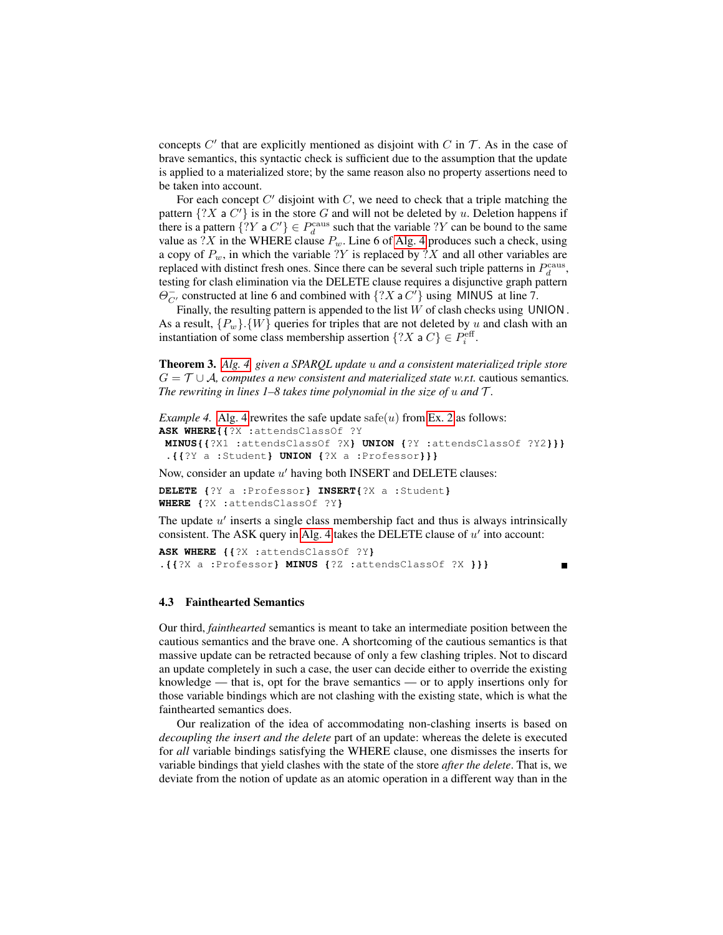concepts  $C'$  that are explicitly mentioned as disjoint with  $C$  in  $\mathcal T$ . As in the case of brave semantics, this syntactic check is sufficient due to the assumption that the update is applied to a materialized store; by the same reason also no property assertions need to be taken into account.

For each concept  $C'$  disjoint with  $C$ , we need to check that a triple matching the pattern  $\{?X \in C'\}$  is in the store G and will not be deleted by u. Deletion happens if there is a pattern  $\{?Y \in P_d^{\text{caus}} \text{ such that the variable } ?Y \text{ can be bound to the same }$ value as ?X in the WHERE clause  $P_w$ . Line 6 of [Alg. 4](#page-9-0) produces such a check, using a copy of  $P_w$ , in which the variable ?Y is replaced by ?X and all other variables are replaced with distinct fresh ones. Since there can be several such triple patterns in  $P_d^{\text{caus}}$ , testing for clash elimination via the DELETE clause requires a disjunctive graph pattern  $\Theta_{C'}^-$  constructed at line 6 and combined with  $\{?X \text{ a } C'\}$  using MINUS at line 7.

Finally, the resulting pattern is appended to the list  $W$  of clash checks using UNION. As a result,  ${P_w}$ .  ${W}$  queries for triples that are not deleted by u and clash with an instantiation of some class membership assertion  $\{?X \text{ a } C\} \in P_i^{\text{eff}}$ .

Theorem 3. *[Alg. 4,](#page-9-0) given a SPARQL update and a consistent materialized triple store*  $G = \mathcal{T} \cup \mathcal{A}$ , computes a new consistent and materialized state w.r.t. cautious semantics. *The rewriting in lines 1–8 takes time polynomial in the size of*  $u$  *and*  $\mathcal{T}$ .

```
Example 4.Alg. 4 rewrites the safe update safe(u Ex. 2 as follows:
ASK WHERE{{?X :attendsClassOf ?Y
MINUS{{?X1 :attendsClassOf ?X} UNION {?Y :attendsClassOf ?Y2}}}
```

```
.{{?Y a :Student} UNION {?X a :Professor}}}
```
Now, consider an update  $u'$  having both INSERT and DELETE clauses:

**DELETE {**?Y a :Professor**} INSERT{**?X a :Student**} WHERE {**?X :attendsClassOf ?Y**}**

The update  $u'$  inserts a single class membership fact and thus is always intrinsically consistent. The ASK query in [Alg. 4](#page-9-0) takes the DELETE clause of  $u'$  into account:

```
ASK WHERE {{?X :attendsClassOf ?Y}
.{{?X a :Professor} MINUS {?Z :attendsClassOf ?X }}}
```
Ē

### 4.3 Fainthearted Semantics

Our third, *fainthearted* semantics is meant to take an intermediate position between the cautious semantics and the brave one. A shortcoming of the cautious semantics is that massive update can be retracted because of only a few clashing triples. Not to discard an update completely in such a case, the user can decide either to override the existing knowledge — that is, opt for the brave semantics — or to apply insertions only for those variable bindings which are not clashing with the existing state, which is what the fainthearted semantics does.

Our realization of the idea of accommodating non-clashing inserts is based on *decoupling the insert and the delete* part of an update: whereas the delete is executed for *all* variable bindings satisfying the WHERE clause, one dismisses the inserts for variable bindings that yield clashes with the state of the store *after the delete*. That is, we deviate from the notion of update as an atomic operation in a different way than in the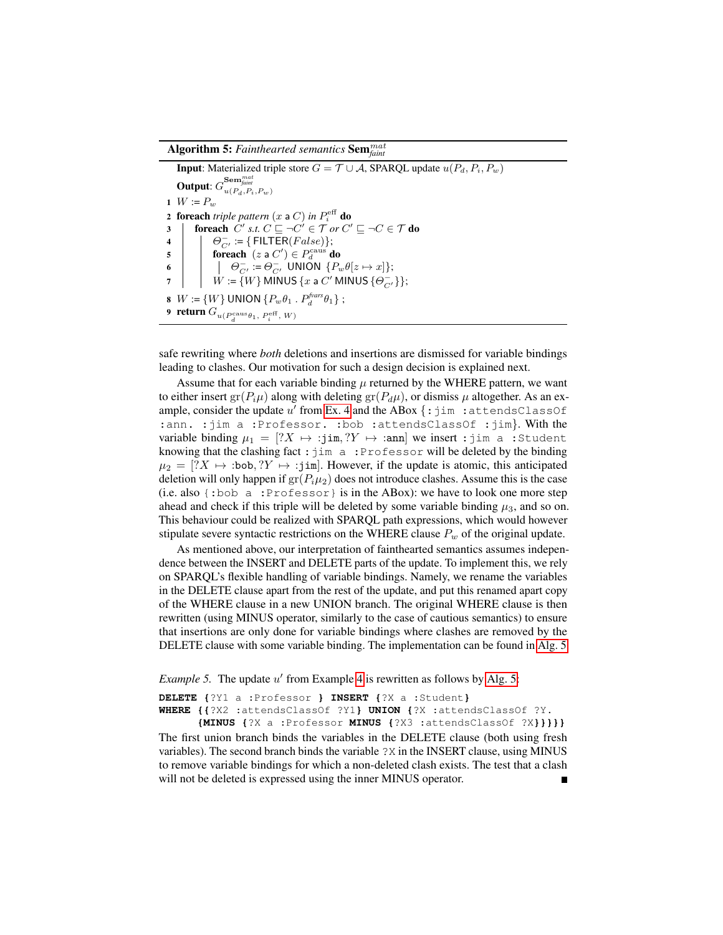Algorithm 5: *Fainthearted semantics* Sem*mat faint*

<span id="page-11-0"></span>**Input:** Materialized triple store  $G = \mathcal{T} \cup \mathcal{A}$ , SPARQL update  $u(P_d, P_i, P_w)$ Output:  $G^{ {\bf Sem}_{faint} }_{u(P_d,P_i,P_w) }$ 1  $W := P_w$ 2 foreach *triple pattern*  $(x \text{ a } C)$  *in*  $P_i^{\text{eff}}$  do 3 **foreach**  $C'$  s.t.  $C \sqsubseteq \neg C' \in \mathcal{T}$  or  $C' \sqsubseteq \neg C \in \mathcal{T}$  do 4  $\bigcup$   $\Theta_{C'}^-$  := { FILTER(*False*)};  $\begin{array}{c|c} \mathbf{A} & \mathbf{B} \end{array}$   $\begin{array}{c} \mathbf{B} & \mathbf{C}_C & \mathbf{C} \\ \mathbf{B} & \mathbf{B} \end{array}$  for each  $(z \neq C') \in P_d^{\text{caus}}$  do 6  $\left| \left| \left| \Theta_{C'}^- \right| := \Theta_{C'}^-$  UNION  $\{P_w \theta[z \mapsto x]\};\right.$  $7 \quad | \quad W \coloneqq \{W\}$  MINUS  $\{x$  a  $C'$  MINUS  $\{\Theta_{C'}^-\}\};$ 8  $W := \{W\}$  UNION  $\{P_w \theta_1 \cdot P_d^{\text{fvars}} \theta_1\}$ ; 9 **return**  $G_{u(P_d^{\text{caus}} \theta_1, P_i^{\text{eff}}, W)}$ 

safe rewriting where *both* deletions and insertions are dismissed for variable bindings leading to clashes. Our motivation for such a design decision is explained next.

Assume that for each variable binding  $\mu$  returned by the WHERE pattern, we want to either insert gr( $P_i\mu$ ) along with deleting gr( $P_d\mu$ ), or dismiss  $\mu$  altogether. As an example, consider the update  $u'$  from [Ex. 4](#page-10-0) and the ABox  $\{\text{:}\}$  jim : attendsClassOf :ann. : jim a :Professor. : bob : attendsClassOf : jim}. With the variable binding  $\mu_1 = [?X \mapsto jim, ?Y \mapsto jim$  we insert : jim a :Student knowing that the clashing fact :  $\lim_{n \to \infty} a$ : Professor will be deleted by the binding  $\mu_2 = [?X \mapsto :bob, ?Y \mapsto :jim]$ . However, if the update is atomic, this anticipated deletion will only happen if  $gr(P_i\mu_2)$  does not introduce clashes. Assume this is the case (i.e. also {:bob a :Professor} is in the ABox): we have to look one more step ahead and check if this triple will be deleted by some variable binding  $\mu_3$ , and so on. This behaviour could be realized with SPARQL path expressions, which would however stipulate severe syntactic restrictions on the WHERE clause  $P_w$  of the original update.

As mentioned above, our interpretation of fainthearted semantics assumes independence between the INSERT and DELETE parts of the update. To implement this, we rely on SPARQL's flexible handling of variable bindings. Namely, we rename the variables in the DELETE clause apart from the rest of the update, and put this renamed apart copy of the WHERE clause in a new UNION branch. The original WHERE clause is then rewritten (using MINUS operator, similarly to the case of cautious semantics) to ensure that insertions are only done for variable bindings where clashes are removed by the DELETE clause with some variable binding. The implementation can be found in [Alg. 5.](#page-11-0)

*Example 5*. The update u' from Example [4](#page-10-0) is rewritten as follows by [Alg. 5:](#page-11-0)

**DELETE {**?Y1 a :Professor **} INSERT {**?X a :Student**} WHERE {{**?X2 :attendsClassOf ?Y1**} UNION {**?X :attendsClassOf ?Y. **{MINUS {**?X a :Professor **MINUS {**?X3 :attendsClassOf ?X**}}}}}**

The first union branch binds the variables in the DELETE clause (both using fresh variables). The second branch binds the variable ?X in the INSERT clause, using MINUS to remove variable bindings for which a non-deleted clash exists. The test that a clash will not be deleted is expressed using the inner MINUS operator.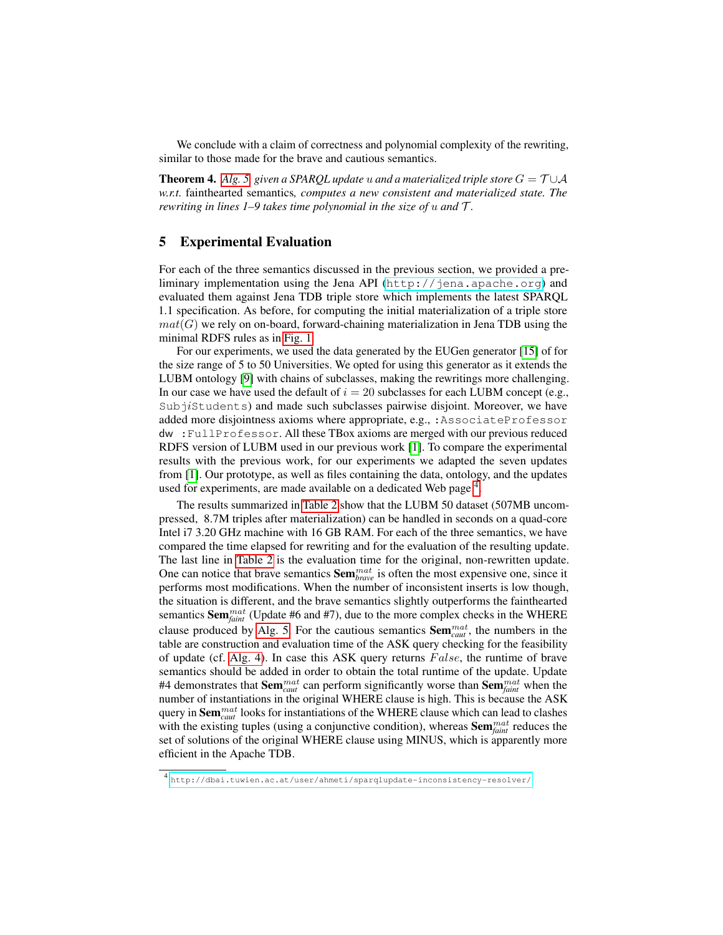We conclude with a claim of correctness and polynomial complexity of the rewriting, similar to those made for the brave and cautious semantics.

**Theorem 4.** *Alg.* 5, given a SPARQL update u and a materialized triple store  $G = \mathcal{T} \cup \mathcal{A}$ *w.r.t.* fainthearted semantics*, computes a new consistent and materialized state. The rewriting in lines 1–9 takes time polynomial in the size of*  $u$  *and*  $T$ .

# <span id="page-12-0"></span>5 Experimental Evaluation

For each of the three semantics discussed in the previous section, we provided a preliminary implementation using the Jena API ([http://jena.apache.org](jena.apache.org)) and evaluated them against Jena TDB triple store which implements the latest SPARQL 1.1 specification. As before, for computing the initial materialization of a triple store  $mat(G)$  we rely on on-board, forward-chaining materialization in Jena TDB using the minimal RDFS rules as in [Fig. 1.](#page-2-0)

For our experiments, we used the data generated by the EUGen generator [\[15\]](#page-14-13) of for the size range of 5 to 50 Universities. We opted for using this generator as it extends the LUBM ontology [\[9\]](#page-14-14) with chains of subclasses, making the rewritings more challenging. In our case we have used the default of  $i = 20$  subclasses for each LUBM concept (e.g.,  $Subj$ students) and made such subclasses pairwise disjoint. Moreover, we have added more disjointness axioms where appropriate, e.g., :AssociateProfessor dw :FullProfessor. All these TBox axioms are merged with our previous reduced RDFS version of LUBM used in our previous work [\[1\]](#page-14-1). To compare the experimental results with the previous work, for our experiments we adapted the seven updates from [\[1\]](#page-14-1). Our prototype, as well as files containing the data, ontology, and the updates used for experiments, are made available on a dedicated Web page<sup>[4](#page-12-1)</sup>.

The results summarized in [Table 2](#page-13-1) show that the LUBM 50 dataset (507MB uncompressed, 8.7M triples after materialization) can be handled in seconds on a quad-core Intel i7 3.20 GHz machine with 16 GB RAM. For each of the three semantics, we have compared the time elapsed for rewriting and for the evaluation of the resulting update. The last line in [Table 2](#page-13-1) is the evaluation time for the original, non-rewritten update. One can notice that brave semantics  $\textbf{Sem}_{\textit{brave}}^{\textit{mat}}$  is often the most expensive one, since it performs most modifications. When the number of inconsistent inserts is low though, the situation is different, and the brave semantics slightly outperforms the fainthearted semantics Sem*mat faint* (Update #6 and #7), due to the more complex checks in the WHERE clause produced by [Alg. 5.](#page-11-0) For the cautious semantics Sem*mat caut* , the numbers in the table are construction and evaluation time of the ASK query checking for the feasibility of update (cf. [Alg. 4\)](#page-9-0). In case this ASK query returns  $False$ , the runtime of brave semantics should be added in order to obtain the total runtime of the update. Update #4 demonstrates that Sem*mat caut* can perform significantly worse than Sem*mat faint* when the number of instantiations in the original WHERE clause is high. This is because the ASK query in Sem*mat caut* looks for instantiations of the WHERE clause which can lead to clashes with the existing tuples (using a conjunctive condition), whereas Sem*mat faint* reduces the set of solutions of the original WHERE clause using MINUS, which is apparently more efficient in the Apache TDB.

<span id="page-12-1"></span><sup>4</sup> [http://dbai.tuwien.ac.at/user/ahmeti/sparqlupdate-inconsistency-resolver/](http://dbai.tuwien.ac.at/user/ahmeti/sparqlupdate-inconsistency-resolver)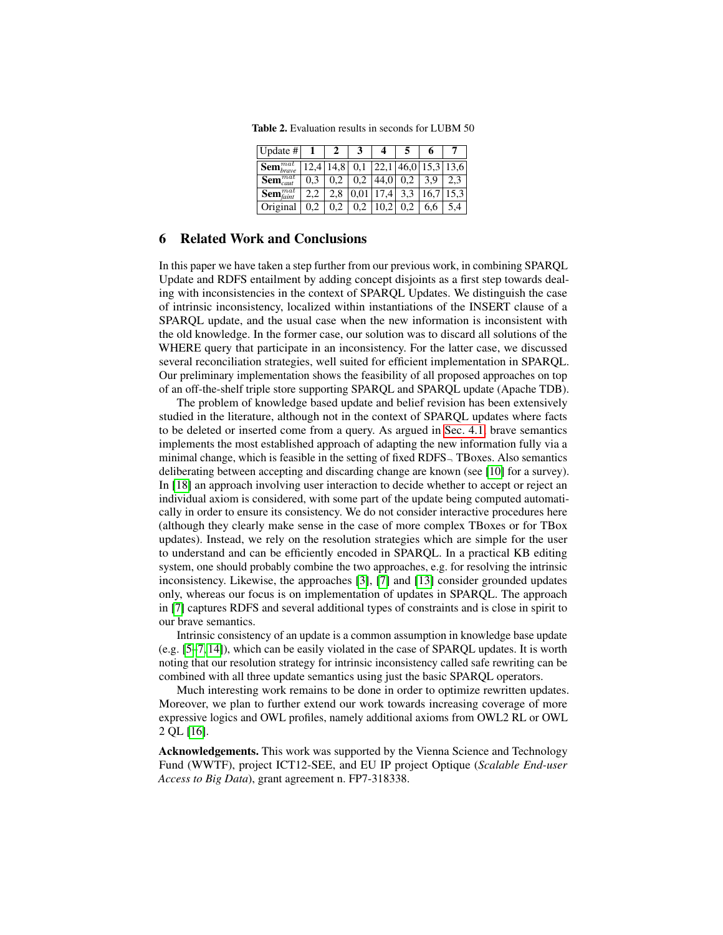<span id="page-13-1"></span>Table 2. Evaluation results in seconds for LUBM 50

| Update #                           |     |      |      |      |     |      |                                   |
|------------------------------------|-----|------|------|------|-----|------|-----------------------------------|
| $\sum_{brane}$                     |     | 14,8 |      |      |     |      | $0,1$   22,1   46,0   15,3   13,6 |
| $\sqrt{\textbf{Sem}_{caut}^{mat}}$ | 0.3 |      |      | 44,0 | 0.2 | 3.9  |                                   |
| $\sum_{\text{Sem}_{\text{faint}}}$ |     | 2.8  | 0,01 | 17.4 | 3,3 | 16,7 | 15.3                              |
| Original                           | 0.2 | 0.2  | 0,2  | 10,2 | 0.2 | 6,6  |                                   |

### <span id="page-13-0"></span>6 Related Work and Conclusions

In this paper we have taken a step further from our previous work, in combining SPARQL Update and RDFS entailment by adding concept disjoints as a first step towards dealing with inconsistencies in the context of SPARQL Updates. We distinguish the case of intrinsic inconsistency, localized within instantiations of the INSERT clause of a SPARQL update, and the usual case when the new information is inconsistent with the old knowledge. In the former case, our solution was to discard all solutions of the WHERE query that participate in an inconsistency. For the latter case, we discussed several reconciliation strategies, well suited for efficient implementation in SPARQL. Our preliminary implementation shows the feasibility of all proposed approaches on top of an off-the-shelf triple store supporting SPARQL and SPARQL update (Apache TDB).

The problem of knowledge based update and belief revision has been extensively studied in the literature, although not in the context of SPARQL updates where facts to be deleted or inserted come from a query. As argued in [Sec. 4.1,](#page-8-2) brave semantics implements the most established approach of adapting the new information fully via a minimal change, which is feasible in the setting of fixed RDFS<sup>¬</sup> TBoxes. Also semantics deliberating between accepting and discarding change are known (see [\[10\]](#page-14-11) for a survey). In [\[18\]](#page-14-15) an approach involving user interaction to decide whether to accept or reject an individual axiom is considered, with some part of the update being computed automatically in order to ensure its consistency. We do not consider interactive procedures here (although they clearly make sense in the case of more complex TBoxes or for TBox updates). Instead, we rely on the resolution strategies which are simple for the user to understand and can be efficiently encoded in SPARQL. In a practical KB editing system, one should probably combine the two approaches, e.g. for resolving the intrinsic inconsistency. Likewise, the approaches [\[3\]](#page-14-16), [\[7\]](#page-14-10) and [\[13\]](#page-14-17) consider grounded updates only, whereas our focus is on implementation of updates in SPARQL. The approach in [\[7\]](#page-14-10) captures RDFS and several additional types of constraints and is close in spirit to our brave semantics.

Intrinsic consistency of an update is a common assumption in knowledge base update (e.g. [\[5–](#page-14-9)[7,](#page-14-10) [14\]](#page-14-18)), which can be easily violated in the case of SPARQL updates. It is worth noting that our resolution strategy for intrinsic inconsistency called safe rewriting can be combined with all three update semantics using just the basic SPARQL operators.

Much interesting work remains to be done in order to optimize rewritten updates. Moreover, we plan to further extend our work towards increasing coverage of more expressive logics and OWL profiles, namely additional axioms from OWL2 RL or OWL 2 QL [\[16\]](#page-14-3).

Acknowledgements. This work was supported by the Vienna Science and Technology Fund (WWTF), project ICT12-SEE, and EU IP project Optique (*Scalable End-user Access to Big Data*), grant agreement n. FP7-318338.